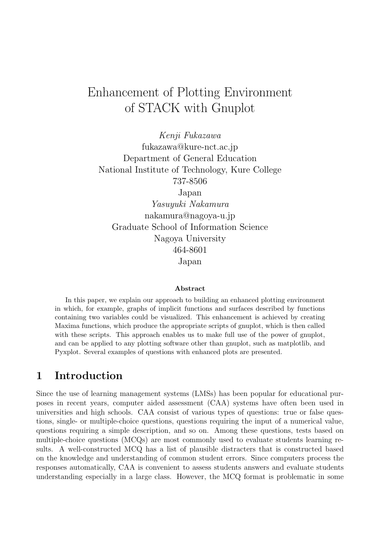# Enhancement of Plotting Environment of STACK with Gnuplot

Kenji Fukazawa fukazawa@kure-nct.ac.jp Department of General Education National Institute of Technology, Kure College 737-8506 Japan Yasuyuki Nakamura nakamura@nagoya-u.jp

Graduate School of Information Science Nagoya University 464-8601

Japan

#### Abstract

In this paper, we explain our approach to building an enhanced plotting environment in which, for example, graphs of implicit functions and surfaces described by functions containing two variables could be visualized. This enhancement is achieved by creating Maxima functions, which produce the appropriate scripts of gnuplot, which is then called with these scripts. This approach enables us to make full use of the power of gnuplot, and can be applied to any plotting software other than gnuplot, such as matplotlib, and Pyxplot. Several examples of questions with enhanced plots are presented.

#### 1 Introduction

Since the use of learning management systems (LMSs) has been popular for educational purposes in recent years, computer aided assessment (CAA) systems have often been used in universities and high schools. CAA consist of various types of questions: true or false questions, single- or multiple-choice questions, questions requiring the input of a numerical value, questions requiring a simple description, and so on. Among these questions, tests based on multiple-choice questions (MCQs) are most commonly used to evaluate students learning results. A well-constructed MCQ has a list of plausible distracters that is constructed based on the knowledge and understanding of common student errors. Since computers process the responses automatically, CAA is convenient to assess students answers and evaluate students understanding especially in a large class. However, the MCQ format is problematic in some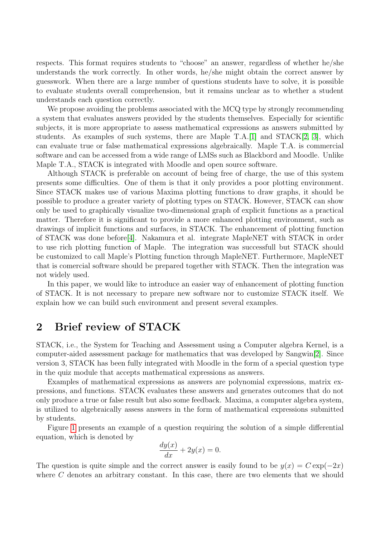respects. This format requires students to "choose" an answer, regardless of whether he/she understands the work correctly. In other words, he/she might obtain the correct answer by guesswork. When there are a large number of questions students have to solve, it is possible to evaluate students overall comprehension, but it remains unclear as to whether a student understands each question correctly.

We propose avoiding the problems associated with the MCQ type by strongly recommending a system that evaluates answers provided by the students themselves. Especially for scientific subjects, it is more appropriate to assess mathematical expressions as answers submitted by students. As examples of such systems, there are Maple T.A.[\[1\]](#page-6-0) and STACK[\[2,](#page-6-1) [3\]](#page-6-2), which can evaluate true or false mathematical expressions algebraically. Maple T.A. is commercial software and can be accessed from a wide range of LMSs such as Blackbord and Moodle. Unlike Maple T.A., STACK is integrated with Moodle and open source software.

Although STACK is preferable on account of being free of charge, the use of this system presents some difficulties. One of them is that it only provides a poor plotting environment. Since STACK makes use of various Maxima plotting functions to draw graphs, it should be possible to produce a greater variety of plotting types on STACK. However, STACK can show only be used to graphically visualize two-dimensional graph of explicit functions as a practical matter. Therefore it is significant to provide a more enhanced plotting environment, such as drawings of implicit functions and surfaces, in STACK. The enhancement of plotting function of STACK was done before[\[4\]](#page-6-3). Nakamura et al. integrate MapleNET with STACK in order to use rich plotting function of Maple. The integration was successfull but STACK should be customized to call Maple's Plotting function through MapleNET. Furthermore, MapleNET that is comercial software should be prepared together with STACK. Then the integration was not widely used.

In this paper, we would like to introduce an easier way of enhancement of plotting function of STACK. It is not necessary to prepare new software nor to customize STACK itself. We explain how we can build such environment and present several examples.

### 2 Brief review of STACK

STACK, i.e., the System for Teaching and Assessment using a Computer algebra Kernel, is a computer-aided assessment package for mathematics that was developed by Sangwin[\[2\]](#page-6-1). Since version 3, STACK has been fully integrated with Moodle in the form of a special question type in the quiz module that accepts mathematical expressions as answers.

Examples of mathematical expressions as answers are polynomial expressions, matrix expressions, and functions. STACK evaluates these answers and generates outcomes that do not only produce a true or false result but also some feedback. Maxima, a computer algebra system, is utilized to algebraically assess answers in the form of mathematical expressions submitted by students.

Figure [1](#page-2-0) presents an example of a question requiring the solution of a simple differential equation, which is denoted by

$$
\frac{dy(x)}{dx} + 2y(x) = 0.
$$

The question is quite simple and the correct answer is easily found to be  $y(x) = C \exp(-2x)$ where C denotes an arbitrary constant. In this case, there are two elements that we should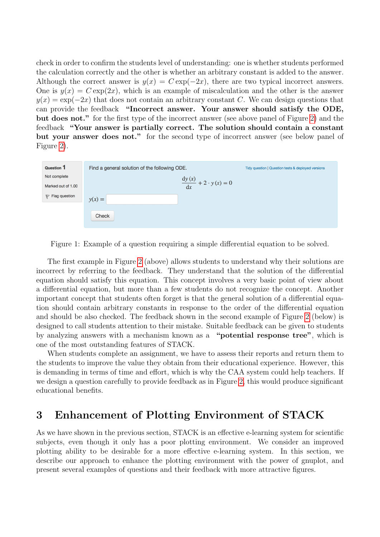check in order to confirm the students level of understanding: one is whether students performed the calculation correctly and the other is whether an arbitrary constant is added to the answer. Although the correct answer is  $y(x) = C \exp(-2x)$ , there are two typical incorrect answers. One is  $y(x) = C \exp(2x)$ , which is an example of miscalculation and the other is the answer  $y(x) = \exp(-2x)$  that does not contain an arbitrary constant C. We can design questions that can provide the feedback "Incorrect answer. Your answer should satisfy the ODE, but does not." for the first type of the incorrect answer (see above panel of Figure [2\)](#page-2-0) and the feedback "Your answer is partially correct. The solution should contain a constant but your answer does not." for the second type of incorrect answer (see below panel of Figure [2\)](#page-2-0).



<span id="page-2-0"></span>Figure 1: Example of a question requiring a simple differential equation to be solved.

The first example in Figure [2](#page-2-0) (above) allows students to understand why their solutions are incorrect by referring to the feedback. They understand that the solution of the differential equation should satisfy this equation. This concept involves a very basic point of view about a differential equation, but more than a few students do not recognize the concept. Another important concept that students often forget is that the general solution of a differential equation should contain arbitrary constants in response to the order of the differential equation and should be also checked. The feedback shown in the second example of Figure [2](#page-2-0) (below) is designed to call students attention to their mistake. Suitable feedback can be given to students by analyzing answers with a mechanism known as a "potential response tree", which is one of the most outstanding features of STACK.

When students complete an assignment, we have to assess their reports and return them to the students to improve the value they obtain from their educational experience. However, this is demanding in terms of time and effort, which is why the CAA system could help teachers. If we design a question carefully to provide feedback as in Figure [2,](#page-2-0) this would produce significant educational benefits.

### 3 Enhancement of Plotting Environment of STACK

As we have shown in the previous section, STACK is an effective e-learning system for scientific subjects, even though it only has a poor plotting environment. We consider an improved plotting ability to be desirable for a more effective e-learning system. In this section, we describe our approach to enhance the plotting environment with the power of gnuplot, and present several examples of questions and their feedback with more attractive figures.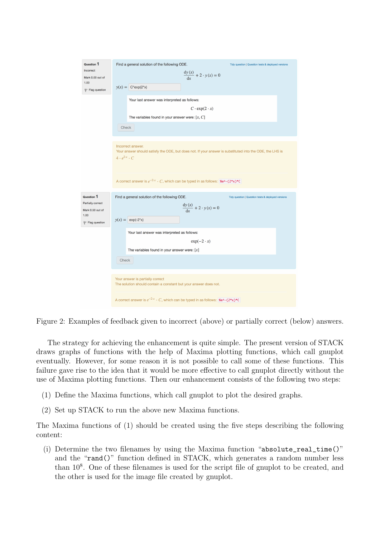| <b>Question 1</b><br>Incorrect<br>Mark 0.00 out of<br>1.00<br>Flag question         | Find a general solution of the following ODE.<br>Tidy question   Question tests & deployed versions<br>$\frac{dy (x)}{dx} + 2 \cdot y (x) = 0$<br>$y(x) = C^*exp(2^*x)$<br>Your last answer was interpreted as follows: |
|-------------------------------------------------------------------------------------|-------------------------------------------------------------------------------------------------------------------------------------------------------------------------------------------------------------------------|
|                                                                                     | $C \cdot \exp(2 \cdot x)$<br>The variables found in your answer were: $[x, C]$<br>Check                                                                                                                                 |
|                                                                                     | Incorrect answer.<br>Your answer should satisfy the ODE, but does not. If your answer is substituted into the ODE, the LHS is<br>$4 \cdot e^{2 \cdot x} \cdot C$                                                        |
|                                                                                     | A correct answer is $e^{-2 \cdot x} \cdot C$ , which can be typed in as follows: $\Re e^A - (2 \cdot x) \cdot C$                                                                                                        |
| Question 1<br><b>Partially correct</b><br>Mark 0.50 out of<br>1.00<br>Flag question | Find a general solution of the following ODE.<br>Tidy question   Question tests & deployed versions<br>$\frac{dy (x)}{dx} + 2 \cdot y (x) = 0$<br>$y(x) = \exp(-2^{x}x)$                                                |
|                                                                                     | Your last answer was interpreted as follows:<br>$exp(-2 \cdot x)$<br>The variables found in your answer were: $\lceil x \rceil$<br>Check                                                                                |
|                                                                                     | Your answer is partially correct<br>The solution should contain a constant but your answer does not.                                                                                                                    |
|                                                                                     | A correct answer is $e^{-2 \cdot x} \cdot C$ , which can be typed in as follows: $\Re e^A - (2 \cdot x) \cdot C$                                                                                                        |

Figure 2: Examples of feedback given to incorrect (above) or partially correct (below) answers.

The strategy for achieving the enhancement is quite simple. The present version of STACK draws graphs of functions with the help of Maxima plotting functions, which call gnuplot eventually. However, for some reason it is not possible to call some of these functions. This failure gave rise to the idea that it would be more effective to call gnuplot directly without the use of Maxima plotting functions. Then our enhancement consists of the following two steps:

- (1) Define the Maxima functions, which call gnuplot to plot the desired graphs.
- (2) Set up STACK to run the above new Maxima functions.

The Maxima functions of (1) should be created using the five steps describing the following content:

(i) Determine the two filenames by using the Maxima function "absolute\_real\_time()" and the "rand()" function defined in STACK, which generates a random number less than  $10^8$ . One of these filenames is used for the script file of gnuplot to be created, and the other is used for the image file created by gnuplot.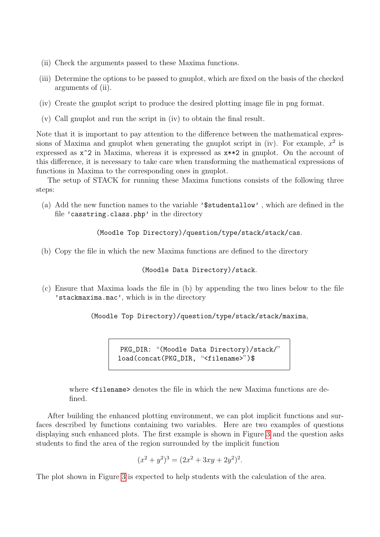- (ii) Check the arguments passed to these Maxima functions.
- (iii) Determine the options to be passed to gnuplot, which are fixed on the basis of the checked arguments of (ii).
- (iv) Create the gnuplot script to produce the desired plotting image file in png format.
- (v) Call gnuplot and run the script in (iv) to obtain the final result.

Note that it is important to pay attention to the difference between the mathematical expressions of Maxima and gnuplot when generating the gnuplot script in (iv). For example,  $x^2$  is expressed as  $x^2$  in Maxima, whereas it is expressed as  $x^{*2}$  in gnuplot. On the account of this difference, it is necessary to take care when transforming the mathematical expressions of functions in Maxima to the corresponding ones in gnuplot.

The setup of STACK for running these Maxima functions consists of the following three steps:

(a) Add the new function names to the variable '\$studentallow' , which are defined in the file 'casstring.class.php' in the directory

(Moodle Top Directory)/question/type/stack/stack/cas.

(b) Copy the file in which the new Maxima functions are defined to the directory

(Moodle Data Directory)/stack.

(c) Ensure that Maxima loads the file in (b) by appending the two lines below to the file 'stackmaxima.mac', which is in the directory

(Moodle Top Directory)/question/type/stack/stack/maxima,

PKG\_DIR: "(Moodle Data Directory)/stack/" load(concat(PKG\_DIR, "<filename>")\$

where  $\le$  filename  $\ge$  denotes the file in which the new Maxima functions are defined.

After building the enhanced plotting environment, we can plot implicit functions and surfaces described by functions containing two variables. Here are two examples of questions displaying such enhanced plots. The first example is shown in Figure [3](#page-5-0) and the question asks students to find the area of the region surrounded by the implicit function

$$
(x2 + y2)3 = (2x2 + 3xy + 2y2)2.
$$

The plot shown in Figure [3](#page-5-0) is expected to help students with the calculation of the area.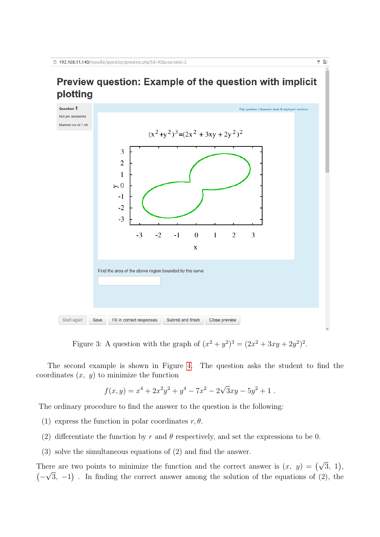## Preview question: Example of the question with implicit plotting

 $\frac{1}{3}$   $\frac{1}{3}$ 



<span id="page-5-0"></span>Figure 3: A question with the graph of  $(x^2 + y^2)^3 = (2x^2 + 3xy + 2y^2)^2$ .

The second example is shown in Figure [4.](#page-7-0) The question asks the student to find the coordinates  $(x, y)$  to minimize the function

$$
f(x,y) = x4 + 2x2y2 + y4 - 7x2 - 2\sqrt{3}xy - 5y2 + 1.
$$

The ordinary procedure to find the answer to the question is the following:

- (1) express the function in polar coordinates  $r, \theta$ .
- (2) differentiate the function by r and  $\theta$  respectively, and set the expressions to be 0.
- (3) solve the simultaneous equations of (2) and find the answer.

There are two points to minimize the function and the correct answer is  $(x, y) = (\sqrt{3}, 1),$  $(-\sqrt{3}, -1)$ . In finding the correct answer among the solution of the equations of (2), the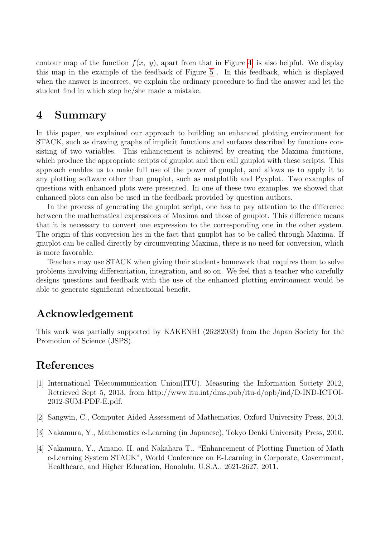contour map of the function  $f(x, y)$ , apart from that in Figure [4,](#page-7-0) is also helpful. We display this map in the example of the feedback of Figure [5](#page-8-0) . In this feedback, which is displayed when the answer is incorrect, we explain the ordinary procedure to find the answer and let the student find in which step he/she made a mistake.

### 4 Summary

In this paper, we explained our approach to building an enhanced plotting environment for STACK, such as drawing graphs of implicit functions and surfaces described by functions consisting of two variables. This enhancement is achieved by creating the Maxima functions, which produce the appropriate scripts of gnuplot and then call gnuplot with these scripts. This approach enables us to make full use of the power of gnuplot, and allows us to apply it to any plotting software other than gnuplot, such as matplotlib and Pyxplot. Two examples of questions with enhanced plots were presented. In one of these two examples, we showed that enhanced plots can also be used in the feedback provided by question authors.

In the process of generating the gnuplot script, one has to pay attention to the difference between the mathematical expressions of Maxima and those of gnuplot. This difference means that it is necessary to convert one expression to the corresponding one in the other system. The origin of this conversion lies in the fact that gnuplot has to be called through Maxima. If gnuplot can be called directly by circumventing Maxima, there is no need for conversion, which is more favorable.

Teachers may use STACK when giving their students homework that requires them to solve problems involving differentiation, integration, and so on. We feel that a teacher who carefully designs questions and feedback with the use of the enhanced plotting environment would be able to generate significant educational benefit.

### Acknowledgement

This work was partially supported by KAKENHI (26282033) from the Japan Society for the Promotion of Science (JSPS).

### References

- <span id="page-6-0"></span>[1] International Telecommunication Union(ITU). Measuring the Information Society 2012, Retrieved Sept 5, 2013, from http://www.itu.int/dms pub/itu-d/opb/ind/D-IND-ICTOI-2012-SUM-PDF-E.pdf.
- <span id="page-6-1"></span>[2] Sangwin, C., Computer Aided Assessment of Mathematics, Oxford University Press, 2013.
- <span id="page-6-2"></span>[3] Nakamura, Y., Mathematics e-Learning (in Japanese), Tokyo Denki University Press, 2010.
- <span id="page-6-3"></span>[4] Nakamura, Y., Amano, H. and Nakahara T., "Enhancement of Plotting Function of Math e-Learning System STACK", World Conference on E-Learning in Corporate, Government, Healthcare, and Higher Education, Honolulu, U.S.A., 2621-2627, 2011.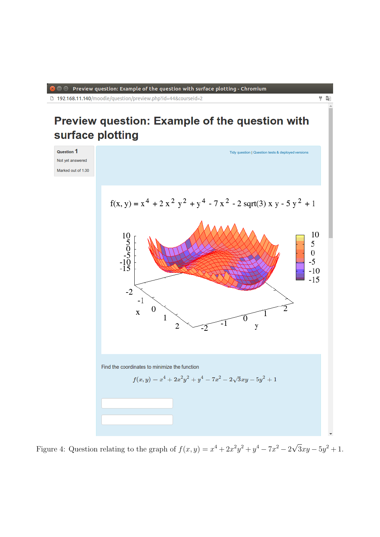**O** Preview question: Example of the question with surface plotting - Chromium

□ 192.168.11.140/moodle/question/preview.php?id=44&courseid=2

# Preview question: Example of the question with surface plotting

 $\frac{1}{2}$   $\frac{1}{2}$ 



<span id="page-7-0"></span>Figure 4: Question relating to the graph of  $f(x,y) = x^4 + 2x^2y^2 + y^4 - 7x^2 - 2$  $\overline{3}xy - 5y^2 + 1.$